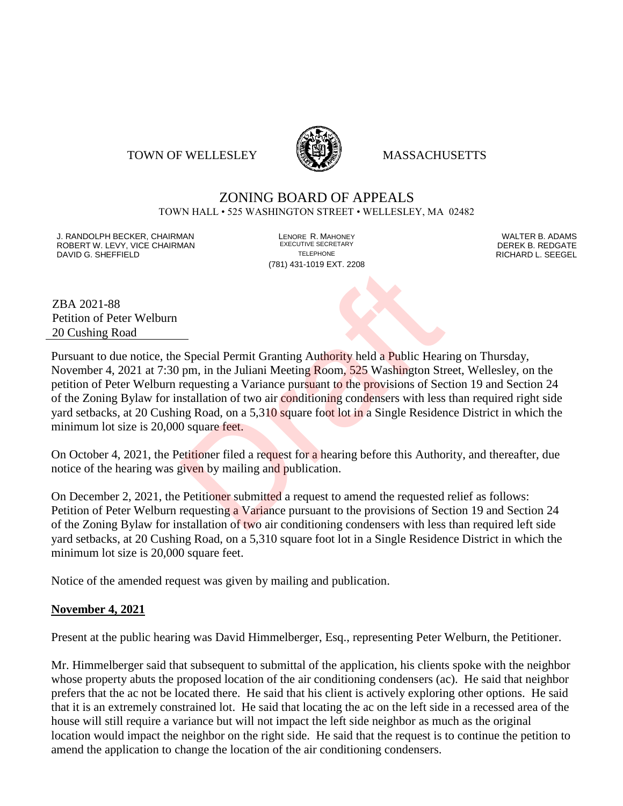#### TOWN OF WELLESLEY **WELLESLEY** MASSACHUSETTS



# ZONING BOARD OF APPEALS

TOWN HALL • 525 WASHINGTON STREET • WELLESLEY, MA 02482

J. RANDOLPH BECKER, CHAIRMAN LENORE R. MAHONEY LENORE R. MAHONEY LENORE RESERVED BY AN ALTER B. ADAMS UNITER B<br>IN ROBERT W. LEVY. VICE CHAIRMAN LETTER AND RESERT ARE EXECUTIVE SECRETARY LETTER TO LETTER BY DEREK B. REDGATE ROBERT W. LEVY, VICE CHAIRMAN EXECUTIVE SECRETARY OF LEVEL CHAIRMAN DAVID G. SHEFFIELD TELEPHONE RICHARD L. SEEGEL

(781) 431-1019 EXT. 2208

ZBA 2021-88 Petition of Peter Welburn 20 Cushing Road

Pursuant to due notice, the Special Permit Granting Authority held a Public Hearing on Thursday, November 4, 2021 at 7:30 pm, in the Juliani Meeting Room, 525 Washington Street, Wellesley, on the petition of Peter Welburn requesting a Variance pursuant to the provisions of Section 19 and Section 24 of the Zoning Bylaw for installation of two air conditioning condensers with less than required right side yard setbacks, at 20 Cushing Road, on a 5,310 square foot lot in a Single Residence District in which the minimum lot size is 20,000 square feet. -<br>
Special Permit Granting Authority held a Public Hear<br>
pm, in the Juliani Meeting Room, 525 Washington Strequesting a Variance pursuant to the provisions of Sec<br>
stallation of two air conditioning condensers with less<br>
n

On October 4, 2021, the Petitioner filed a request for a hearing before this Authority, and thereafter, due notice of the hearing was given by mailing and publication.

On December 2, 2021, the Petitioner submitted a request to amend the requested relief as follows: Petition of Peter Welburn requesting a Variance pursuant to the provisions of Section 19 and Section 24 of the Zoning Bylaw for installation of two air conditioning condensers with less than required left side yard setbacks, at 20 Cushing Road, on a 5,310 square foot lot in a Single Residence District in which the minimum lot size is 20,000 square feet.

Notice of the amended request was given by mailing and publication.

#### **November 4, 2021**

Present at the public hearing was David Himmelberger, Esq., representing Peter Welburn, the Petitioner.

Mr. Himmelberger said that subsequent to submittal of the application, his clients spoke with the neighbor whose property abuts the proposed location of the air conditioning condensers (ac). He said that neighbor prefers that the ac not be located there. He said that his client is actively exploring other options. He said that it is an extremely constrained lot. He said that locating the ac on the left side in a recessed area of the house will still require a variance but will not impact the left side neighbor as much as the original location would impact the neighbor on the right side. He said that the request is to continue the petition to amend the application to change the location of the air conditioning condensers.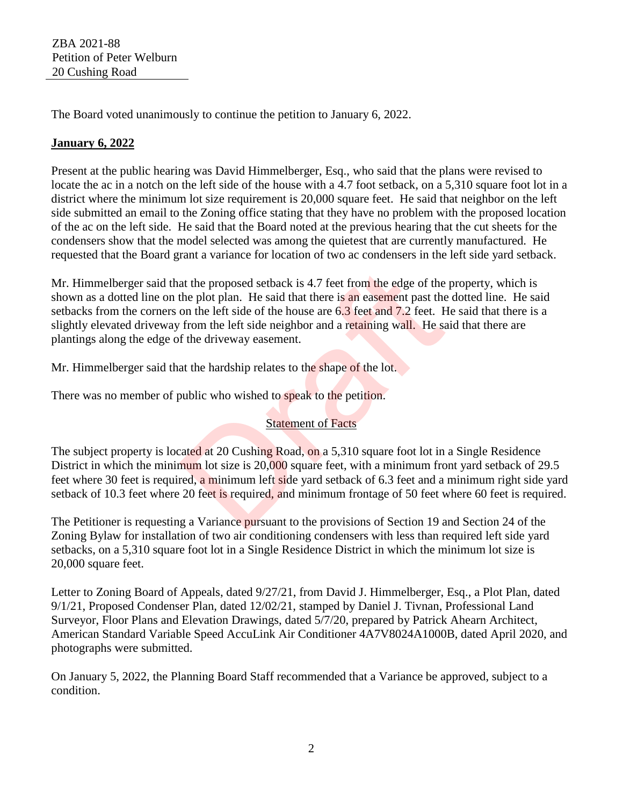The Board voted unanimously to continue the petition to January 6, 2022.

## **January 6, 2022**

Present at the public hearing was David Himmelberger, Esq., who said that the plans were revised to locate the ac in a notch on the left side of the house with a 4.7 foot setback, on a 5,310 square foot lot in a district where the minimum lot size requirement is 20,000 square feet. He said that neighbor on the left side submitted an email to the Zoning office stating that they have no problem with the proposed location of the ac on the left side. He said that the Board noted at the previous hearing that the cut sheets for the condensers show that the model selected was among the quietest that are currently manufactured. He requested that the Board grant a variance for location of two ac condensers in the left side yard setback.

Mr. Himmelberger said that the proposed setback is 4.7 feet from the edge of the property, which is shown as a dotted line on the plot plan. He said that there is an easement past the dotted line. He said setbacks from the corners on the left side of the house are 6.3 feet and 7.2 feet. He said that there is a slightly elevated driveway from the left side neighbor and a retaining wall. He said that there are plantings along the edge of the driveway easement. at the proposed setback is 4.7 feet from the edge of the<br>the plot plan. He said that there is an easement past the<br>on the left side of the house are  $6.3$  feet and 7.2 feet. F<br>from the left side neighbor and a retaining w

Mr. Himmelberger said that the hardship relates to the shape of the lot.

There was no member of public who wished to speak to the petition.

## **Statement of Facts**

The subject property is located at 20 Cushing Road, on a 5,310 square foot lot in a Single Residence District in which the minimum lot size is 20,000 square feet, with a minimum front yard setback of 29.5 feet where 30 feet is required, a minimum left side yard setback of 6.3 feet and a minimum right side yard setback of 10.3 feet where 20 feet is required, and minimum frontage of 50 feet where 60 feet is required.

The Petitioner is requesting a Variance pursuant to the provisions of Section 19 and Section 24 of the Zoning Bylaw for installation of two air conditioning condensers with less than required left side yard setbacks, on a 5,310 square foot lot in a Single Residence District in which the minimum lot size is 20,000 square feet.

Letter to Zoning Board of Appeals, dated 9/27/21, from David J. Himmelberger, Esq., a Plot Plan, dated 9/1/21, Proposed Condenser Plan, dated 12/02/21, stamped by Daniel J. Tivnan, Professional Land Surveyor, Floor Plans and Elevation Drawings, dated 5/7/20, prepared by Patrick Ahearn Architect, American Standard Variable Speed AccuLink Air Conditioner 4A7V8024A1000B, dated April 2020, and photographs were submitted.

On January 5, 2022, the Planning Board Staff recommended that a Variance be approved, subject to a condition.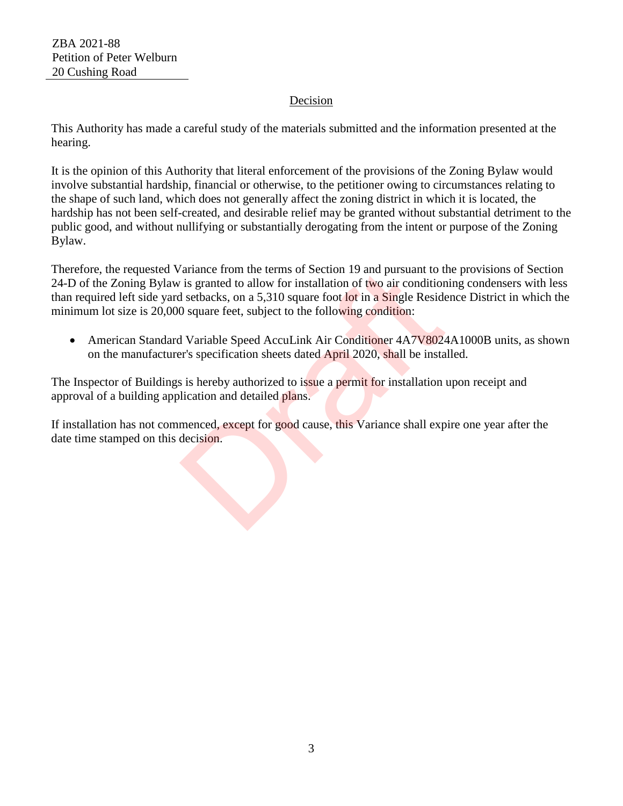### Decision

This Authority has made a careful study of the materials submitted and the information presented at the hearing.

It is the opinion of this Authority that literal enforcement of the provisions of the Zoning Bylaw would involve substantial hardship, financial or otherwise, to the petitioner owing to circumstances relating to the shape of such land, which does not generally affect the zoning district in which it is located, the hardship has not been self-created, and desirable relief may be granted without substantial detriment to the public good, and without nullifying or substantially derogating from the intent or purpose of the Zoning Bylaw.

Therefore, the requested Variance from the terms of Section 19 and pursuant to the provisions of Section 24-D of the Zoning Bylaw is granted to allow for installation of two air conditioning condensers with less than required left side yard setbacks, on a 5,310 square foot lot in a Single Residence District in which the minimum lot size is 20,000 square feet, subject to the following condition: France from the terms of Section 19 and pursuant to the is granted to allow for installation of two air condition setbacks, on a 5,310 square foot lot in a Single Reside 0 square feet, subject to the following condition:<br>I

• American Standard Variable Speed AccuLink Air Conditioner 4A7V8024A1000B units, as shown on the manufacturer's specification sheets dated April 2020, shall be installed.

The Inspector of Buildings is hereby authorized to issue a permit for installation upon receipt and approval of a building application and detailed plans.

If installation has not commenced, except for good cause, this Variance shall expire one year after the date time stamped on this decision.